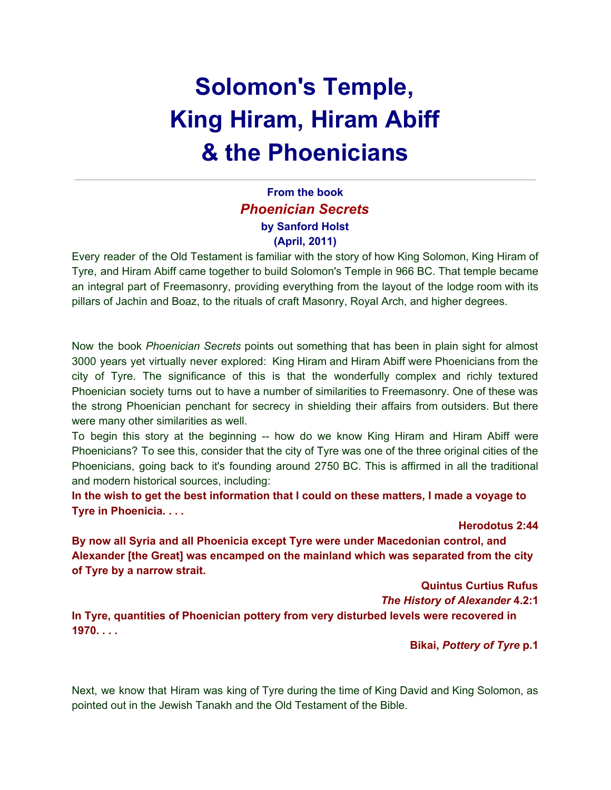# **Solomon's Temple, King Hiram, Hiram Abiff & the Phoenicians**

## **From the book** *Phoenician Secrets* **by Sanford Holst (April, 2011)**

Every reader of the Old Testament is familiar with the story of how King Solomon, King Hiram of Tyre, and Hiram Abiff came together to build Solomon's Temple in 966 BC. That temple became an integral part of Freemasonry, providing everything from the layout of the lodge room with its pillars of Jachin and Boaz, to the rituals of craft Masonry, Royal Arch, and higher degrees.

Now the book *Phoenician Secrets* points out something that has been in plain sight for almost 3000 years yet virtually never explored: King Hiram and Hiram Abiff were Phoenicians from the city of Tyre. The significance of this is that the wonderfully complex and richly textured Phoenician society turns out to have a number of similarities to Freemasonry. One of these was the strong Phoenician penchant for secrecy in shielding their affairs from outsiders. But there were many other similarities as well.

To begin this story at the beginning -- how do we know King Hiram and Hiram Abiff were Phoenicians? To see this, consider that the city of Tyre was one of the three original cities of the Phoenicians, going back to it's founding around 2750 BC. This is affirmed in all the traditional and modern historical sources, including:

**In the wish to get the best information that I could on these matters, I made a voyage to Tyre in Phoenicia. . . .**

**Herodotus 2:44**

**By now all Syria and all Phoenicia except Tyre were under Macedonian control, and Alexander [the Great] was encamped on the mainland which was separated from the city of Tyre by a narrow strait.**

**Quintus Curtius Rufus**

*The History of Alexander* **4.2:1**

**In Tyre, quantities of Phoenician pottery from very disturbed levels were recovered in 1970. . . .**

**Bikai,** *Pottery of Tyre* **p.1**

Next, we know that Hiram was king of Tyre during the time of King David and King Solomon, as pointed out in the Jewish Tanakh and the Old Testament of the Bible.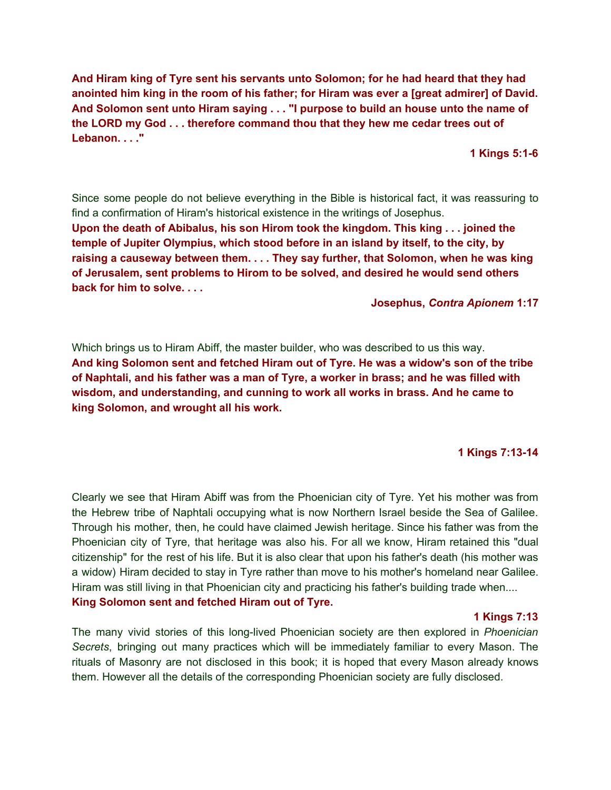**And Hiram king of Tyre sent his servants unto Solomon; for he had heard that they had anointed him king in the room of his father; for Hiram was ever a [great admirer] of David. And Solomon sent unto Hiram saying . . . "I purpose to build an house unto the name of the LORD my God . . . therefore command thou that they hew me cedar trees out of Lebanon. . . ."**

**1 Kings 5:1-6**

Since some people do not believe everything in the Bible is historical fact, it was reassuring to find a confirmation of Hiram's historical existence in the writings of Josephus. **Upon the death of Abibalus, his son Hirom took the kingdom. This king . . . joined the temple of Jupiter Olympius, which stood before in an island by itself, to the city, by raising a causeway between them. . . . They say further, that Solomon, when he was king of Jerusalem, sent problems to Hirom to be solved, and desired he would send others back for him to solve. . . .**

#### **Josephus,** *Contra Apionem* **1:17**

Which brings us to Hiram Abiff, the master builder, who was described to us this way. **And king Solomon sent and fetched Hiram out of Tyre. He was a widow's son of the tribe of Naphtali, and his father was a man of Tyre, a worker in brass; and he was filled with wisdom, and understanding, and cunning to work all works in brass. And he came to king Solomon, and wrought all his work.**

### **1 Kings 7:13-14**

Clearly we see that Hiram Abiff was from the Phoenician city of Tyre. Yet his mother was from the Hebrew tribe of Naphtali occupying what is now Northern Israel beside the Sea of Galilee. Through his mother, then, he could have claimed Jewish heritage. Since his father was from the Phoenician city of Tyre, that heritage was also his. For all we know, Hiram retained this "dual citizenship" for the rest of his life. But it is also clear that upon his father's death (his mother was a widow) Hiram decided to stay in Tyre rather than move to his mother's homeland near Galilee. Hiram was still living in that Phoenician city and practicing his father's building trade when.... **King Solomon sent and fetched Hiram out of Tyre.**

#### **1 Kings 7:13**

The many vivid stories of this long-lived Phoenician society are then explored in *Phoenician Secrets*, bringing out many practices which will be immediately familiar to every Mason. The rituals of Masonry are not disclosed in this book; it is hoped that every Mason already knows them. However all the details of the corresponding Phoenician society are fully disclosed.